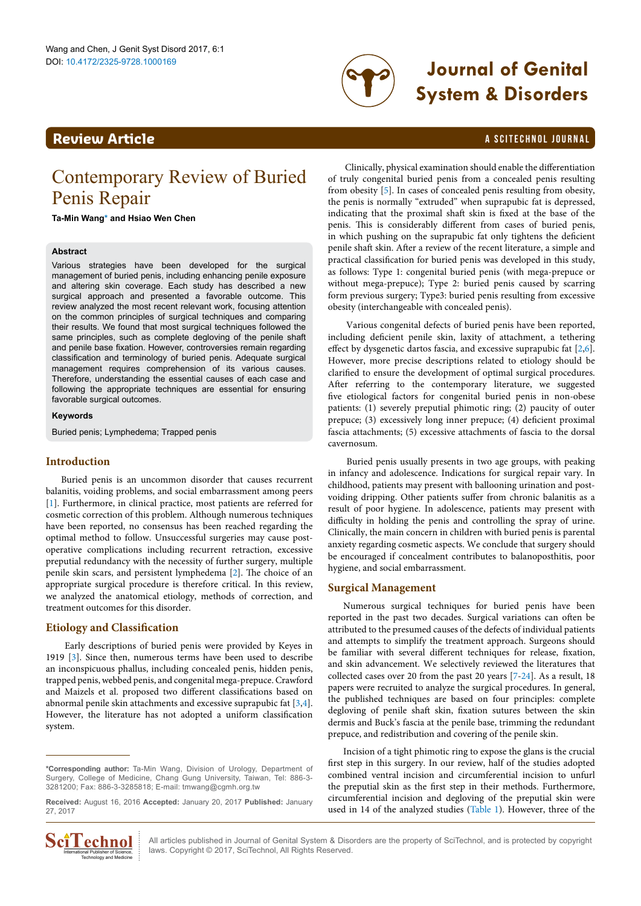

# DOI: 10.4172/2325-9728.1000169 **Journal of Genital System & Disorders**

### **Review Article a Scitterion Community Community Community** A SCITECHNOL JOURNAL

## Contemporary Review of Buried Penis Repair

**Ta-Min Wan[g\\*](#page-0-0) and Hsiao Wen Chen**

#### **Abstract**

Various strategies have been developed for the surgical management of buried penis, including enhancing penile exposure and altering skin coverage. Each study has described a new surgical approach and presented a favorable outcome. This review analyzed the most recent relevant work, focusing attention on the common principles of surgical techniques and comparing their results. We found that most surgical techniques followed the same principles, such as complete degloving of the penile shaft and penile base fixation. However, controversies remain regarding classification and terminology of buried penis. Adequate surgical management requires comprehension of its various causes. Therefore, understanding the essential causes of each case and following the appropriate techniques are essential for ensuring favorable surgical outcomes.

#### **Keywords**

Buried penis; Lymphedema; Trapped penis

#### **Introduction**

Buried penis is an uncommon disorder that causes recurrent balanitis, voiding problems, and social embarrassment among peers [[1\]](#page-2-0). Furthermore, in clinical practice, most patients are referred for cosmetic correction of this problem. Although numerous techniques have been reported, no consensus has been reached regarding the optimal method to follow. Unsuccessful surgeries may cause postoperative complications including recurrent retraction, excessive preputial redundancy with the necessity of further surgery, multiple penile skin scars, and persistent lymphedema [\[2\]](#page-2-1). The choice of an appropriate surgical procedure is therefore critical. In this review, we analyzed the anatomical etiology, methods of correction, and treatment outcomes for this disorder.

#### **Etiology and Classification**

 Early descriptions of buried penis were provided by Keyes in 1919 [\[3\]](#page-2-2). Since then, numerous terms have been used to describe an inconspicuous phallus, including concealed penis, hidden penis, trapped penis, webbed penis, and congenital mega-prepuce. Crawford and Maizels et al. proposed two different classifications based on abnormal penile skin attachments and excessive suprapubic fat [[3](#page-2-2)[,4](#page-2-3)]. However, the literature has not adopted a uniform classification system.

**Received:** August 16, 2016 **Accepted:** January 20, 2017 **Published:** January 27, 2017



 Clinically, physical examination should enable the differentiation of truly congenital buried penis from a concealed penis resulting from obesity [[5\]](#page-2-4). In cases of concealed penis resulting from obesity, the penis is normally "extruded" when suprapubic fat is depressed, indicating that the proximal shaft skin is fixed at the base of the penis. This is considerably different from cases of buried penis, in which pushing on the suprapubic fat only tightens the deficient penile shaft skin. After a review of the recent literature, a simple and practical classification for buried penis was developed in this study, as follows: Type 1: congenital buried penis (with mega-prepuce or without mega-prepuce); Type 2: buried penis caused by scarring form previous surgery; Type3: buried penis resulting from excessive obesity (interchangeable with concealed penis).

 Various congenital defects of buried penis have been reported, including deficient penile skin, laxity of attachment, a tethering effect by dysgenetic dartos fascia, and excessive suprapubic fat [[2](#page-2-1)[,6\]](#page-2-5). However, more precise descriptions related to etiology should be clarified to ensure the development of optimal surgical procedures. After referring to the contemporary literature, we suggested five etiological factors for congenital buried penis in non-obese patients: (1) severely preputial phimotic ring; (2) paucity of outer prepuce; (3) excessively long inner prepuce; (4) deficient proximal fascia attachments; (5) excessive attachments of fascia to the dorsal cavernosum.

 Buried penis usually presents in two age groups, with peaking in infancy and adolescence. Indications for surgical repair vary. In childhood, patients may present with ballooning urination and postvoiding dripping. Other patients suffer from chronic balanitis as a result of poor hygiene. In adolescence, patients may present with difficulty in holding the penis and controlling the spray of urine. Clinically, the main concern in children with buried penis is parental anxiety regarding cosmetic aspects. We conclude that surgery should be encouraged if concealment contributes to balanoposthitis, poor hygiene, and social embarrassment.

#### **Surgical Management**

Numerous surgical techniques for buried penis have been reported in the past two decades. Surgical variations can often be attributed to the presumed causes of the defects of individual patients and attempts to simplify the treatment approach. Surgeons should be familiar with several different techniques for release, fixation, and skin advancement. We selectively reviewed the literatures that collected cases over 20 from the past 20 years [[7](#page-2-6)[-24\]](#page-2-7). As a result, 18 papers were recruited to analyze the surgical procedures. In general, the published techniques are based on four principles: complete degloving of penile shaft skin, fixation sutures between the skin dermis and Buck's fascia at the penile base, trimming the redundant prepuce, and redistribution and covering of the penile skin.

Incision of a tight phimotic ring to expose the glans is the crucial first step in this surgery. In our review, half of the studies adopted combined ventral incision and circumferential incision to unfurl the preputial skin as the first step in their methods. Furthermore, circumferential incision and degloving of the preputial skin were used in 14 of the analyzed studies ([Table 1](#page-1-0)). However, three of the

All articles published in Journal of Genital System & Disorders are the property of SciTechnol, and is protected by copyright **COMBOLE ALL** All articles published in Journal of Genital System & Diso<br>  $\frac{1}{\text{Total Publisher of Science}}$  : laws. Copyright © 2017, SciTechnol, All Rights Reserved.

<span id="page-0-0"></span>**<sup>\*</sup>Corresponding author:** Ta-Min Wang, Division of Urology, Department of Surgery, College of Medicine, Chang Gung University, Taiwan, Tel: 886-3- 3281200; Fax: 886-3-3285818; E-mail: tmwang@cgmh.org.tw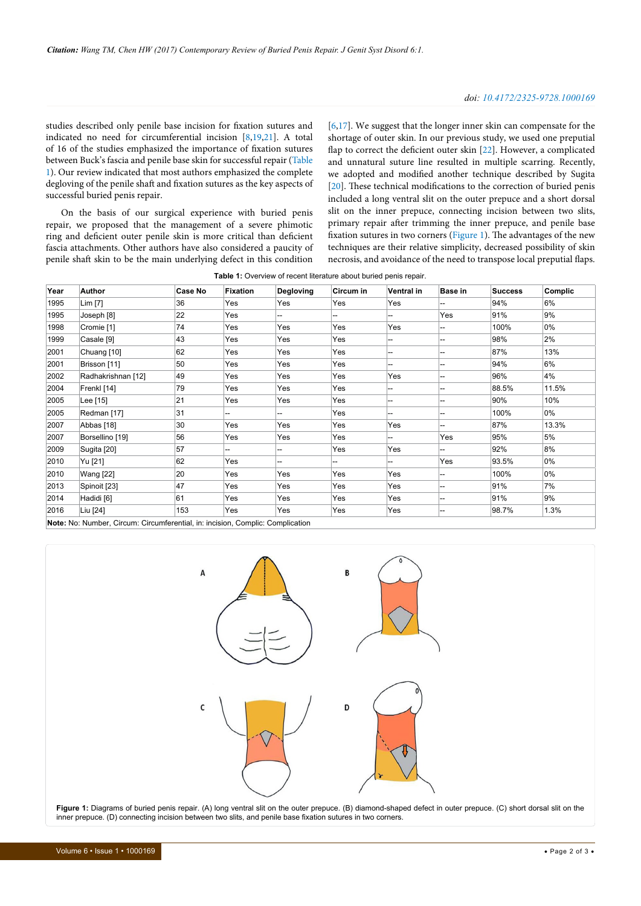studies described only penile base incision for fixation sutures and indicated no need for circumferential incision [\[8](#page-2-8)[,19](#page-2-9)[,21\]](#page-2-10). A total of 16 of the studies emphasized the importance of fixation sutures between Buck's fascia and penile base skin for successful repair [\(Table](#page-1-0) [1\)](#page-1-0). Our review indicated that most authors emphasized the complete degloving of the penile shaft and fixation sutures as the key aspects of successful buried penis repair.

On the basis of our surgical experience with buried penis repair, we proposed that the management of a severe phimotic ring and deficient outer penile skin is more critical than deficient fascia attachments. Other authors have also considered a paucity of penile shaft skin to be the main underlying defect in this condition [[6](#page-2-5)[,17\]](#page-2-11). We suggest that the longer inner skin can compensate for the shortage of outer skin. In our previous study, we used one preputial flap to correct the deficient outer skin [\[22](#page-2-12)]. However, a complicated and unnatural suture line resulted in multiple scarring. Recently, we adopted and modified another technique described by Sugita [[20](#page-2-13)]. These technical modifications to the correction of buried penis included a long ventral slit on the outer prepuce and a short dorsal slit on the inner prepuce, connecting incision between two slits, primary repair after trimming the inner prepuce, and penile base fixation sutures in two corners [\(Figure 1](#page-1-1)). The advantages of the new techniques are their relative simplicity, decreased possibility of skin necrosis, and avoidance of the need to transpose local preputial flaps.

<span id="page-1-0"></span>**Table 1:** Overview of recent literature about buried penis repair.

| Year | Author                                                                      | Case No | <b>Fixation</b> | Degloving | Circum in | Ventral in | <b>Base in</b> | <b>Success</b> | Complic |
|------|-----------------------------------------------------------------------------|---------|-----------------|-----------|-----------|------------|----------------|----------------|---------|
| 1995 | Lim [7]                                                                     | 36      | Yes             | Yes       | Yes       | Yes        | −−             | 94%            | 6%      |
| 1995 | Joseph [8]                                                                  | 22      | Yes             | −−        | --        |            | Yes            | 91%            | 9%      |
| 1998 | Cromie [1]                                                                  | 74      | Yes             | Yes       | Yes       | Yes        | --             | 100%           | 0%      |
| 1999 | Casale [9]                                                                  | 43      | Yes             | Yes       | Yes       | --         | $-$            | 98%            | 2%      |
| 2001 | Chuang [10]                                                                 | 62      | Yes             | Yes       | Yes       | --         | --             | 87%            | 13%     |
| 2001 | Brisson [11]                                                                | 50      | Yes             | Yes       | Yes       |            | --             | 94%            | 6%      |
| 2002 | Radhakrishnan [12]                                                          | 49      | Yes             | Yes       | Yes       | Yes        | --             | 96%            | 4%      |
| 2004 | Frenkl [14]                                                                 | 79      | Yes             | Yes       | Yes       | --         | -−             | 88.5%          | 11.5%   |
| 2005 | Lee [15]                                                                    | 21      | Yes             | Yes       | Yes       | --         | --             | 90%            | 10%     |
| 2005 | Redman [17]                                                                 | 31      | --              | <b>.</b>  | Yes       | --         | ÷              | 100%           | 0%      |
| 2007 | Abbas [18]                                                                  | 30      | Yes             | Yes       | Yes       | Yes        | ÷              | 87%            | 13.3%   |
| 2007 | Borsellino [19]                                                             | 56      | Yes             | Yes       | Yes       |            | Yes            | 95%            | 5%      |
| 2009 | Sugita [20]                                                                 | 57      |                 |           | Yes       | Yes        | ÷              | 92%            | 8%      |
| 2010 | Yu [21]                                                                     | 62      | Yes             |           |           |            | Yes            | 93.5%          | 0%      |
| 2010 | Wang [22]                                                                   | 20      | Yes             | Yes       | Yes       | Yes        | -−             | 100%           | 0%      |
| 2013 | Spinoit [23]                                                                | 47      | Yes             | Yes       | Yes       | Yes        | −−             | 91%            | 7%      |
| 2014 | Hadidi <sup>[6]</sup>                                                       | 61      | Yes             | Yes       | Yes       | Yes        | −−             | 91%            | 9%      |
| 2016 | Liu [24]                                                                    | 153     | Yes             | Yes       | Yes       | Yes        | --             | 98.7%          | 1.3%    |
|      | Nata: Nachburghan Oberner Obernefensation berbandelen Osmalia: Osmaliastism |         |                 |           |           |            |                |                |         |

**Note:** No: Number, Circum: Circumferential, in: incision, Complic: Complication

<span id="page-1-1"></span>